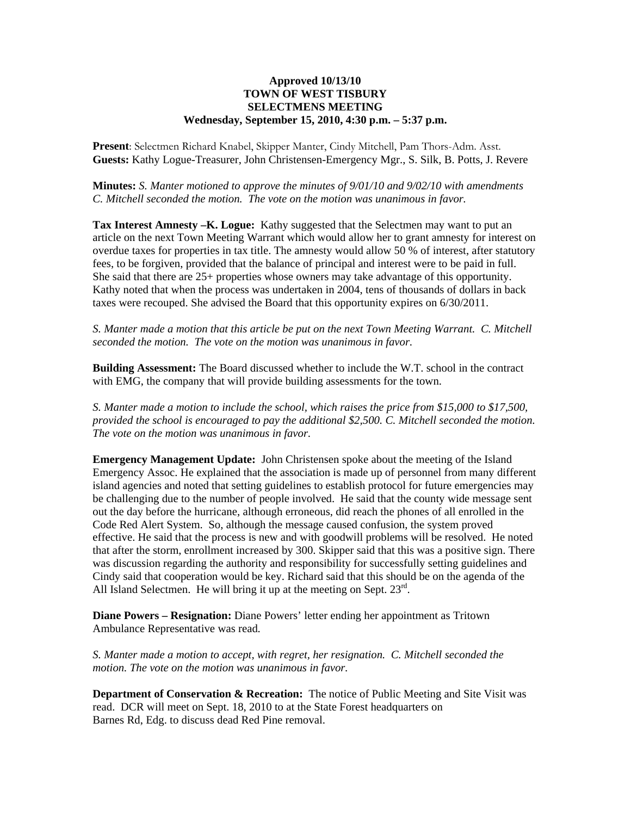## **Approved 10/13/10 TOWN OF WEST TISBURY SELECTMENS MEETING Wednesday, September 15, 2010, 4:30 p.m. – 5:37 p.m.**

**Present**: Selectmen Richard Knabel, Skipper Manter, Cindy Mitchell, Pam Thors-Adm. Asst. **Guests:** Kathy Logue-Treasurer, John Christensen-Emergency Mgr., S. Silk, B. Potts, J. Revere

**Minutes:** *S. Manter motioned to approve the minutes of 9/01/10 and 9/02/10 with amendments C. Mitchell seconded the motion. The vote on the motion was unanimous in favor.* 

**Tax Interest Amnesty –K. Logue:** Kathy suggested that the Selectmen may want to put an article on the next Town Meeting Warrant which would allow her to grant amnesty for interest on overdue taxes for properties in tax title. The amnesty would allow 50 % of interest, after statutory fees, to be forgiven, provided that the balance of principal and interest were to be paid in full. She said that there are 25+ properties whose owners may take advantage of this opportunity. Kathy noted that when the process was undertaken in 2004, tens of thousands of dollars in back taxes were recouped. She advised the Board that this opportunity expires on 6/30/2011.

*S. Manter made a motion that this article be put on the next Town Meeting Warrant. C. Mitchell seconded the motion. The vote on the motion was unanimous in favor.* 

**Building Assessment:** The Board discussed whether to include the W.T. school in the contract with EMG, the company that will provide building assessments for the town.

*S. Manter made a motion to include the school, which raises the price from \$15,000 to \$17,500, provided the school is encouraged to pay the additional \$2,500. C. Mitchell seconded the motion. The vote on the motion was unanimous in favor.* 

**Emergency Management Update:** John Christensen spoke about the meeting of the Island Emergency Assoc. He explained that the association is made up of personnel from many different island agencies and noted that setting guidelines to establish protocol for future emergencies may be challenging due to the number of people involved. He said that the county wide message sent out the day before the hurricane, although erroneous, did reach the phones of all enrolled in the Code Red Alert System. So, although the message caused confusion, the system proved effective. He said that the process is new and with goodwill problems will be resolved. He noted that after the storm, enrollment increased by 300. Skipper said that this was a positive sign. There was discussion regarding the authority and responsibility for successfully setting guidelines and Cindy said that cooperation would be key. Richard said that this should be on the agenda of the All Island Selectmen. He will bring it up at the meeting on Sept.  $23<sup>rd</sup>$ .

**Diane Powers – Resignation:** Diane Powers' letter ending her appointment as Tritown Ambulance Representative was read*.* 

*S. Manter made a motion to accept, with regret, her resignation. C. Mitchell seconded the motion. The vote on the motion was unanimous in favor.* 

**Department of Conservation & Recreation:** The notice of Public Meeting and Site Visit was read. DCR will meet on Sept. 18, 2010 to at the State Forest headquarters on Barnes Rd, Edg. to discuss dead Red Pine removal.